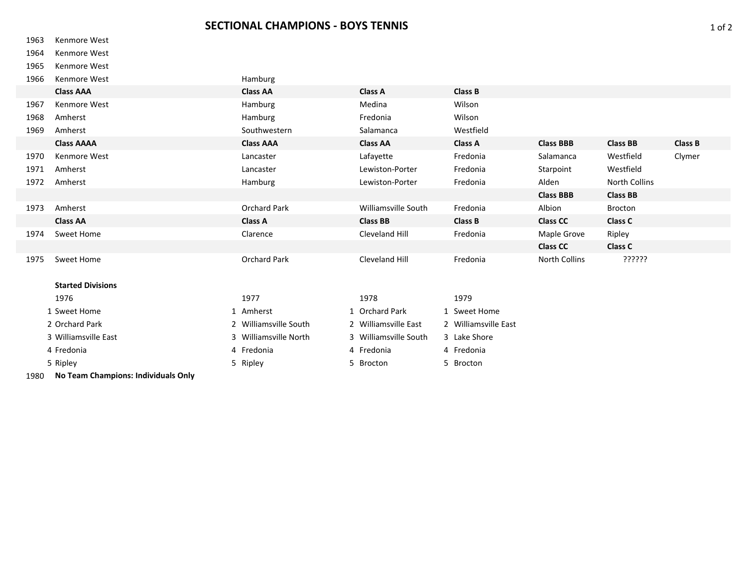## Kenmore West

Kenmore West

Kenmore West

| 1966 | Kenmore West             | Hamburg               |                       |                      |                  |                 |                |
|------|--------------------------|-----------------------|-----------------------|----------------------|------------------|-----------------|----------------|
|      | <b>Class AAA</b>         | <b>Class AA</b>       | <b>Class A</b>        | Class B              |                  |                 |                |
| 1967 | Kenmore West             | Hamburg               | Medina                | Wilson               |                  |                 |                |
| 1968 | Amherst                  | Hamburg               | Fredonia              | Wilson               |                  |                 |                |
| 1969 | Amherst                  | Southwestern          | Salamanca             | Westfield            |                  |                 |                |
|      | <b>Class AAAA</b>        | <b>Class AAA</b>      | <b>Class AA</b>       | <b>Class A</b>       | <b>Class BBB</b> | <b>Class BB</b> | <b>Class B</b> |
| 1970 | Kenmore West             | Lancaster             | Lafayette             | Fredonia             | Salamanca        | Westfield       | Clymer         |
| 1971 | Amherst                  | Lancaster             | Lewiston-Porter       | Fredonia             | Starpoint        | Westfield       |                |
| 1972 | Amherst                  | Hamburg               | Lewiston-Porter       | Fredonia             | Alden            | North Collins   |                |
|      |                          |                       |                       |                      | <b>Class BBB</b> | <b>Class BB</b> |                |
| 1973 | Amherst                  | Orchard Park          | Williamsville South   | Fredonia             | Albion           | <b>Brocton</b>  |                |
|      | <b>Class AA</b>          | <b>Class A</b>        | <b>Class BB</b>       | Class B              | <b>Class CC</b>  | Class C         |                |
| 1974 | Sweet Home               | Clarence              | Cleveland Hill        | Fredonia             | Maple Grove      | Ripley          |                |
|      |                          |                       |                       |                      | <b>Class CC</b>  | <b>Class C</b>  |                |
| 1975 | Sweet Home               | Orchard Park          | Cleveland Hill        | Fredonia             | North Collins    | יִיִיִיִיִּיִ   |                |
|      |                          |                       |                       |                      |                  |                 |                |
|      | <b>Started Divisions</b> |                       |                       |                      |                  |                 |                |
|      | 1976                     | 1977                  | 1978                  | 1979                 |                  |                 |                |
|      | 1 Sweet Home             | 1 Amherst             | 1 Orchard Park        | 1 Sweet Home         |                  |                 |                |
|      | 2 Orchard Park           | 2 Williamsville South | 2 Williamsville East  | 2 Williamsville East |                  |                 |                |
|      | 3 Williamsville East     | 3 Williamsville North | 3 Williamsville South | 3 Lake Shore         |                  |                 |                |
|      | 4 Fredonia               | 4 Fredonia            | 4 Fredonia            | 4 Fredonia           |                  |                 |                |

Ripley 5 Ripley 5 Brocton 5 Brocton

**No Team Champions: Individuals Only**